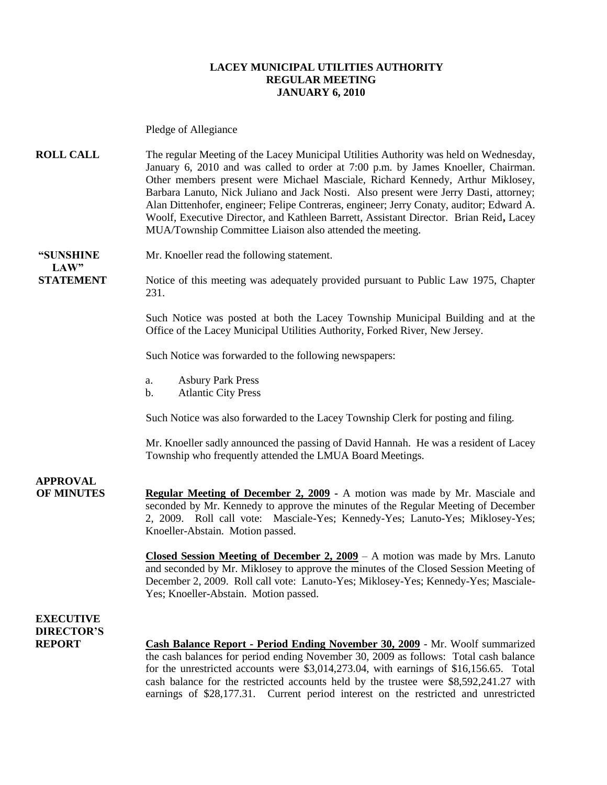### **LACEY MUNICIPAL UTILITIES AUTHORITY REGULAR MEETING JANUARY 6, 2010**

Pledge of Allegiance

**ROLL CALL** The regular Meeting of the Lacey Municipal Utilities Authority was held on Wednesday, January 6, 2010 and was called to order at 7:00 p.m. by James Knoeller, Chairman. Other members present were Michael Masciale, Richard Kennedy, Arthur Miklosey, Barbara Lanuto, Nick Juliano and Jack Nosti. Also present were Jerry Dasti, attorney; Alan Dittenhofer, engineer; Felipe Contreras, engineer; Jerry Conaty, auditor; Edward A. Woolf, Executive Director, and Kathleen Barrett, Assistant Director. Brian Reid**,** Lacey MUA/Township Committee Liaison also attended the meeting.

 $LAW"$ 

**"SUNSHINE** Mr. Knoeller read the following statement.

**STATEMENT** Notice of this meeting was adequately provided pursuant to Public Law 1975, Chapter 231.

> Such Notice was posted at both the Lacey Township Municipal Building and at the Office of the Lacey Municipal Utilities Authority, Forked River, New Jersey.

Such Notice was forwarded to the following newspapers:

- a. Asbury Park Press
- b. Atlantic City Press

Such Notice was also forwarded to the Lacey Township Clerk for posting and filing.

Mr. Knoeller sadly announced the passing of David Hannah. He was a resident of Lacey Township who frequently attended the LMUA Board Meetings.

**APPROVAL**

**OF MINUTES Regular Meeting of December 2, 2009 -** A motion was made by Mr. Masciale and seconded by Mr. Kennedy to approve the minutes of the Regular Meeting of December 2, 2009. Roll call vote: Masciale-Yes; Kennedy-Yes; Lanuto-Yes; Miklosey-Yes; Knoeller-Abstain. Motion passed.

> **Closed Session Meeting of December 2, 2009** – A motion was made by Mrs. Lanuto and seconded by Mr. Miklosey to approve the minutes of the Closed Session Meeting of December 2, 2009. Roll call vote: Lanuto-Yes; Miklosey-Yes; Kennedy-Yes; Masciale-Yes; Knoeller-Abstain. Motion passed.

**EXECUTIVE DIRECTOR'S**

**REPORT Cash Balance Report - Period Ending November 30, 2009** - Mr. Woolf summarized the cash balances for period ending November 30, 2009 as follows: Total cash balance for the unrestricted accounts were \$3,014,273.04, with earnings of \$16,156.65. Total cash balance for the restricted accounts held by the trustee were \$8,592,241.27 with earnings of \$28,177.31. Current period interest on the restricted and unrestricted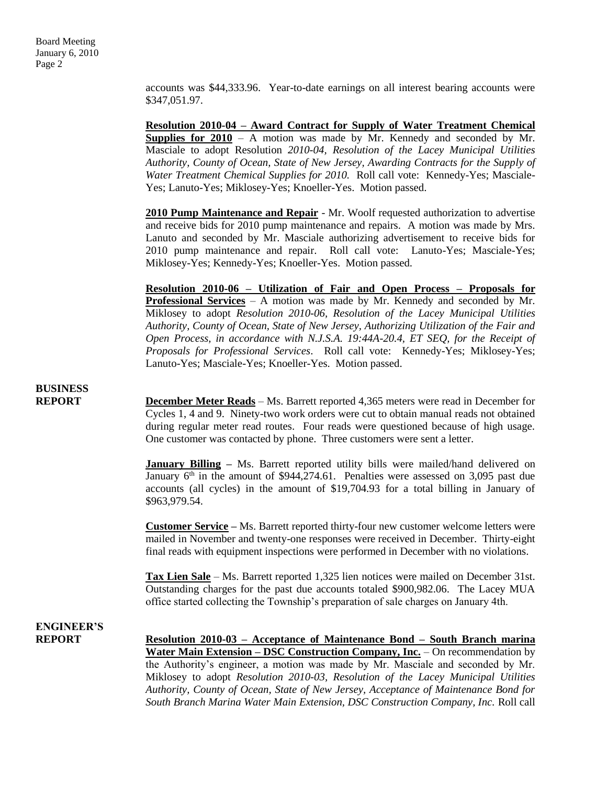accounts was \$44,333.96. Year-to-date earnings on all interest bearing accounts were \$347,051.97.

**Resolution 2010-04 – Award Contract for Supply of Water Treatment Chemical Supplies for**  $2010 - A$  motion was made by Mr. Kennedy and seconded by Mr. Masciale to adopt Resolution *2010-04, Resolution of the Lacey Municipal Utilities Authority, County of Ocean, State of New Jersey, Awarding Contracts for the Supply of Water Treatment Chemical Supplies for 2010.* Roll call vote: Kennedy-Yes; Masciale-Yes; Lanuto-Yes; Miklosey-Yes; Knoeller-Yes. Motion passed.

**2010 Pump Maintenance and Repair** - Mr. Woolf requested authorization to advertise and receive bids for 2010 pump maintenance and repairs. A motion was made by Mrs. Lanuto and seconded by Mr. Masciale authorizing advertisement to receive bids for 2010 pump maintenance and repair. Roll call vote: Lanuto-Yes; Masciale-Yes; Miklosey-Yes; Kennedy-Yes; Knoeller-Yes. Motion passed.

**Resolution 2010-06 – Utilization of Fair and Open Process – Proposals for Professional Services** – A motion was made by Mr. Kennedy and seconded by Mr. Miklosey to adopt *Resolution 2010-06, Resolution of the Lacey Municipal Utilities Authority, County of Ocean, State of New Jersey, Authorizing Utilization of the Fair and Open Process, in accordance with N.J.S.A. 19:44A-20.4, ET SEQ, for the Receipt of Proposals for Professional Services*. Roll call vote: Kennedy-Yes; Miklosey-Yes; Lanuto-Yes; Masciale-Yes; Knoeller-Yes. Motion passed.

## **BUSINESS**

**REPORT December Meter Reads** – Ms. Barrett reported 4,365 meters were read in December for Cycles 1, 4 and 9. Ninety-two work orders were cut to obtain manual reads not obtained during regular meter read routes. Four reads were questioned because of high usage. One customer was contacted by phone. Three customers were sent a letter.

> **January Billing** – Ms. Barrett reported utility bills were mailed/hand delivered on January  $6<sup>th</sup>$  in the amount of \$944,274.61. Penalties were assessed on 3,095 past due accounts (all cycles) in the amount of \$19,704.93 for a total billing in January of \$963,979.54.

> **Customer Service –** Ms. Barrett reported thirty-four new customer welcome letters were mailed in November and twenty-one responses were received in December. Thirty-eight final reads with equipment inspections were performed in December with no violations.

> **Tax Lien Sale** – Ms. Barrett reported 1,325 lien notices were mailed on December 31st. Outstanding charges for the past due accounts totaled \$900,982.06. The Lacey MUA office started collecting the Township's preparation of sale charges on January 4th.

# **ENGINEER'S**

**REPORT Resolution 2010-03 – Acceptance of Maintenance Bond – South Branch marina Water Main Extension – DSC Construction Company, Inc.** – On recommendation by the Authority's engineer, a motion was made by Mr. Masciale and seconded by Mr. Miklosey to adopt *Resolution 2010-03, Resolution of the Lacey Municipal Utilities Authority, County of Ocean, State of New Jersey, Acceptance of Maintenance Bond for South Branch Marina Water Main Extension, DSC Construction Company, Inc.* Roll call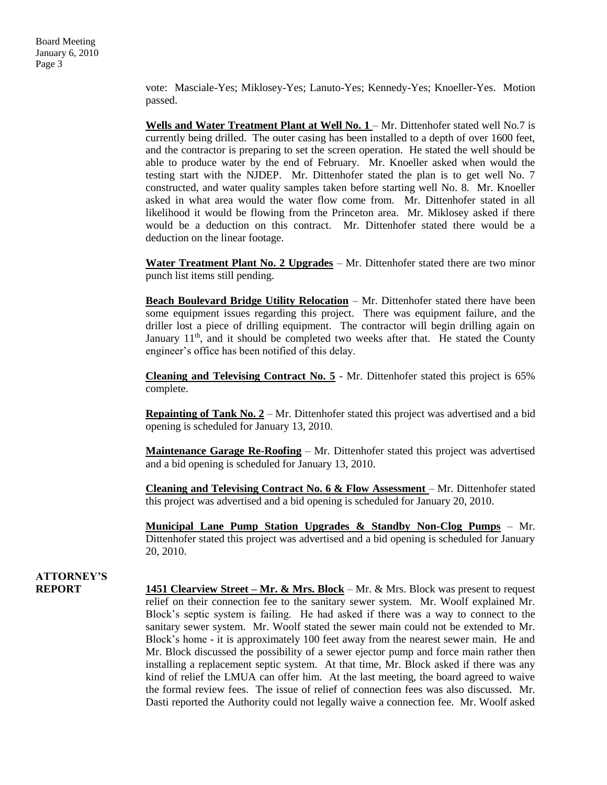Board Meeting January 6, 2010 Page 3

> vote: Masciale-Yes; Miklosey-Yes; Lanuto-Yes; Kennedy-Yes; Knoeller-Yes. Motion passed.

> **Wells and Water Treatment Plant at Well No. 1 – Mr. Dittenhofer stated well No.7 is** currently being drilled. The outer casing has been installed to a depth of over 1600 feet, and the contractor is preparing to set the screen operation. He stated the well should be able to produce water by the end of February. Mr. Knoeller asked when would the testing start with the NJDEP. Mr. Dittenhofer stated the plan is to get well No. 7 constructed, and water quality samples taken before starting well No. 8. Mr. Knoeller asked in what area would the water flow come from. Mr. Dittenhofer stated in all likelihood it would be flowing from the Princeton area. Mr. Miklosey asked if there would be a deduction on this contract. Mr. Dittenhofer stated there would be a deduction on the linear footage.

> **Water Treatment Plant No. 2 Upgrades** – Mr. Dittenhofer stated there are two minor punch list items still pending.

> **Beach Boulevard Bridge Utility Relocation** – Mr. Dittenhofer stated there have been some equipment issues regarding this project. There was equipment failure, and the driller lost a piece of drilling equipment. The contractor will begin drilling again on January  $11<sup>th</sup>$ , and it should be completed two weeks after that. He stated the County engineer's office has been notified of this delay.

> **Cleaning and Televising Contract No. 5** - Mr. Dittenhofer stated this project is 65% complete.

> **Repainting of Tank No. 2** – Mr. Dittenhofer stated this project was advertised and a bid opening is scheduled for January 13, 2010.

> **Maintenance Garage Re-Roofing** – Mr. Dittenhofer stated this project was advertised and a bid opening is scheduled for January 13, 2010.

> **Cleaning and Televising Contract No. 6 & Flow Assessment** – Mr. Dittenhofer stated this project was advertised and a bid opening is scheduled for January 20, 2010.

> **Municipal Lane Pump Station Upgrades & Standby Non-Clog Pumps** – Mr. Dittenhofer stated this project was advertised and a bid opening is scheduled for January 20, 2010.

# **ATTORNEY'S**

**REPORT 1451 Clearview Street – Mr. & Mrs. Block** – Mr. & Mrs. Block was present to request relief on their connection fee to the sanitary sewer system. Mr. Woolf explained Mr. Block's septic system is failing. He had asked if there was a way to connect to the sanitary sewer system. Mr. Woolf stated the sewer main could not be extended to Mr. Block's home - it is approximately 100 feet away from the nearest sewer main. He and Mr. Block discussed the possibility of a sewer ejector pump and force main rather then installing a replacement septic system. At that time, Mr. Block asked if there was any kind of relief the LMUA can offer him. At the last meeting, the board agreed to waive the formal review fees. The issue of relief of connection fees was also discussed. Mr. Dasti reported the Authority could not legally waive a connection fee. Mr. Woolf asked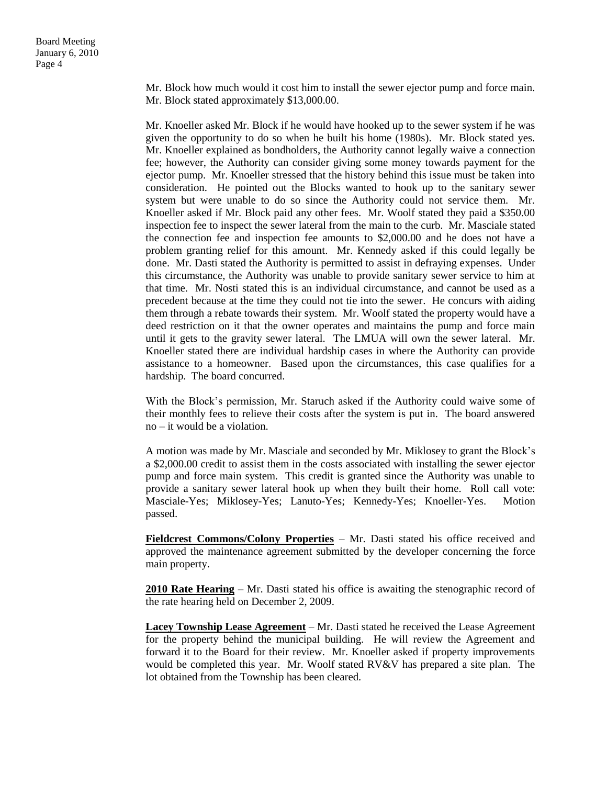Mr. Block how much would it cost him to install the sewer ejector pump and force main. Mr. Block stated approximately \$13,000.00.

Mr. Knoeller asked Mr. Block if he would have hooked up to the sewer system if he was given the opportunity to do so when he built his home (1980s). Mr. Block stated yes. Mr. Knoeller explained as bondholders, the Authority cannot legally waive a connection fee; however, the Authority can consider giving some money towards payment for the ejector pump. Mr. Knoeller stressed that the history behind this issue must be taken into consideration. He pointed out the Blocks wanted to hook up to the sanitary sewer system but were unable to do so since the Authority could not service them. Mr. Knoeller asked if Mr. Block paid any other fees. Mr. Woolf stated they paid a \$350.00 inspection fee to inspect the sewer lateral from the main to the curb. Mr. Masciale stated the connection fee and inspection fee amounts to \$2,000.00 and he does not have a problem granting relief for this amount. Mr. Kennedy asked if this could legally be done. Mr. Dasti stated the Authority is permitted to assist in defraying expenses. Under this circumstance, the Authority was unable to provide sanitary sewer service to him at that time. Mr. Nosti stated this is an individual circumstance, and cannot be used as a precedent because at the time they could not tie into the sewer. He concurs with aiding them through a rebate towards their system. Mr. Woolf stated the property would have a deed restriction on it that the owner operates and maintains the pump and force main until it gets to the gravity sewer lateral. The LMUA will own the sewer lateral. Mr. Knoeller stated there are individual hardship cases in where the Authority can provide assistance to a homeowner. Based upon the circumstances, this case qualifies for a hardship. The board concurred.

With the Block's permission, Mr. Staruch asked if the Authority could waive some of their monthly fees to relieve their costs after the system is put in. The board answered no – it would be a violation.

A motion was made by Mr. Masciale and seconded by Mr. Miklosey to grant the Block's a \$2,000.00 credit to assist them in the costs associated with installing the sewer ejector pump and force main system. This credit is granted since the Authority was unable to provide a sanitary sewer lateral hook up when they built their home. Roll call vote: Masciale-Yes; Miklosey-Yes; Lanuto-Yes; Kennedy-Yes; Knoeller-Yes. Motion passed.

Fieldcrest Commons/Colony Properties - Mr. Dasti stated his office received and approved the maintenance agreement submitted by the developer concerning the force main property.

**2010 Rate Hearing** – Mr. Dasti stated his office is awaiting the stenographic record of the rate hearing held on December 2, 2009.

**Lacey Township Lease Agreement** – Mr. Dasti stated he received the Lease Agreement for the property behind the municipal building. He will review the Agreement and forward it to the Board for their review. Mr. Knoeller asked if property improvements would be completed this year. Mr. Woolf stated RV&V has prepared a site plan. The lot obtained from the Township has been cleared.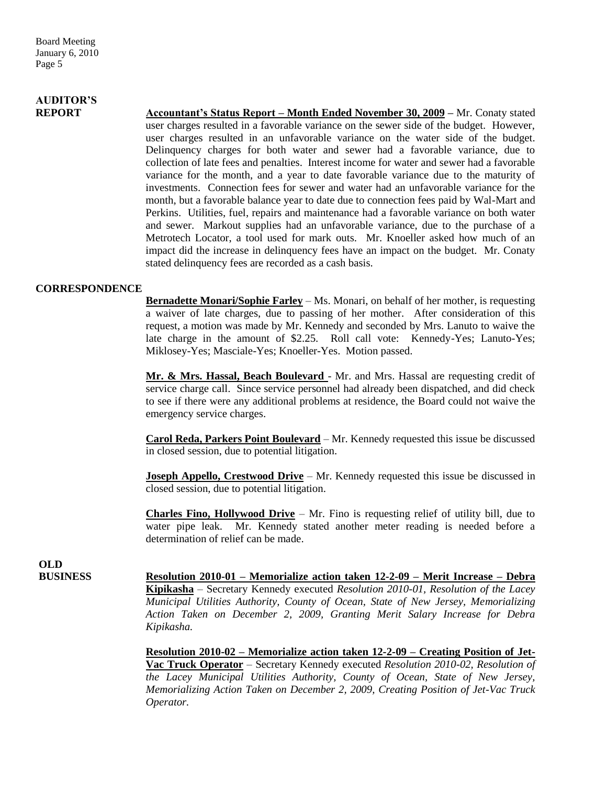# **AUDITOR'S**

**REPORT Accountant's Status Report – Month Ended November 30, 2009 –** Mr. Conaty stated user charges resulted in a favorable variance on the sewer side of the budget. However, user charges resulted in an unfavorable variance on the water side of the budget. Delinquency charges for both water and sewer had a favorable variance, due to collection of late fees and penalties. Interest income for water and sewer had a favorable variance for the month, and a year to date favorable variance due to the maturity of investments. Connection fees for sewer and water had an unfavorable variance for the month, but a favorable balance year to date due to connection fees paid by Wal-Mart and Perkins. Utilities, fuel, repairs and maintenance had a favorable variance on both water and sewer. Markout supplies had an unfavorable variance, due to the purchase of a Metrotech Locator, a tool used for mark outs. Mr. Knoeller asked how much of an impact did the increase in delinquency fees have an impact on the budget. Mr. Conaty stated delinquency fees are recorded as a cash basis.

### **CORRESPONDENCE**

**Bernadette Monari/Sophie Farley** – Ms. Monari, on behalf of her mother, is requesting a waiver of late charges, due to passing of her mother. After consideration of this request, a motion was made by Mr. Kennedy and seconded by Mrs. Lanuto to waive the late charge in the amount of \$2.25. Roll call vote: Kennedy-Yes; Lanuto-Yes; Miklosey-Yes; Masciale-Yes; Knoeller-Yes. Motion passed.

**Mr. & Mrs. Hassal, Beach Boulevard** - Mr. and Mrs. Hassal are requesting credit of service charge call. Since service personnel had already been dispatched, and did check to see if there were any additional problems at residence, the Board could not waive the emergency service charges.

**Carol Reda, Parkers Point Boulevard** – Mr. Kennedy requested this issue be discussed in closed session, due to potential litigation.

**Joseph Appello, Crestwood Drive** – Mr. Kennedy requested this issue be discussed in closed session, due to potential litigation.

**Charles Fino, Hollywood Drive** – Mr. Fino is requesting relief of utility bill, due to water pipe leak. Mr. Kennedy stated another meter reading is needed before a determination of relief can be made.

**OLD**

**BUSINESS Resolution 2010-01 – Memorialize action taken 12-2-09 – Merit Increase – Debra Kipikasha** – Secretary Kennedy executed *Resolution 2010-01, Resolution of the Lacey Municipal Utilities Authority, County of Ocean, State of New Jersey, Memorializing Action Taken on December 2, 2009, Granting Merit Salary Increase for Debra Kipikasha.* 

> **Resolution 2010-02 – Memorialize action taken 12-2-09 – Creating Position of Jet-Vac Truck Operator** – Secretary Kennedy executed *Resolution 2010-02, Resolution of the Lacey Municipal Utilities Authority, County of Ocean, State of New Jersey, Memorializing Action Taken on December 2, 2009, Creating Position of Jet-Vac Truck Operator.*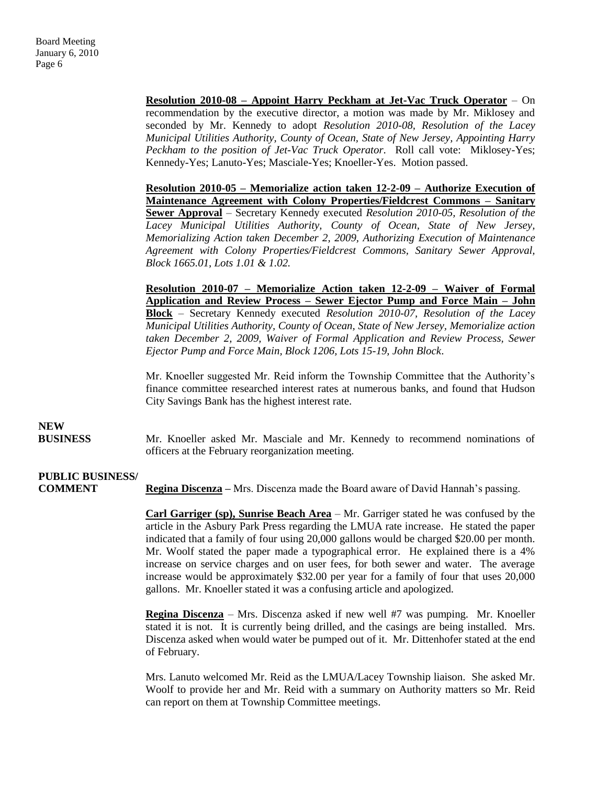**Resolution 2010-08 – Appoint Harry Peckham at Jet-Vac Truck Operator** – On recommendation by the executive director, a motion was made by Mr. Miklosey and seconded by Mr. Kennedy to adopt *Resolution 2010-08, Resolution of the Lacey Municipal Utilities Authority, County of Ocean, State of New Jersey, Appointing Harry Peckham to the position of Jet-Vac Truck Operator*. Roll call vote: Miklosey-Yes; Kennedy-Yes; Lanuto-Yes; Masciale-Yes; Knoeller-Yes. Motion passed.

**Resolution 2010-05 – Memorialize action taken 12-2-09 – Authorize Execution of Maintenance Agreement with Colony Properties/Fieldcrest Commons – Sanitary Sewer Approval** – Secretary Kennedy executed *Resolution 2010-05, Resolution of the Lacey Municipal Utilities Authority, County of Ocean, State of New Jersey, Memorializing Action taken December 2, 2009, Authorizing Execution of Maintenance Agreement with Colony Properties/Fieldcrest Commons, Sanitary Sewer Approval, Block 1665.01, Lots 1.01 & 1.02.*

**Resolution 2010-07 – Memorialize Action taken 12-2-09 – Waiver of Formal Application and Review Process – Sewer Ejector Pump and Force Main – John Block** *–* Secretary Kennedy executed *Resolution 2010-07, Resolution of the Lacey Municipal Utilities Authority, County of Ocean, State of New Jersey, Memorialize action taken December 2, 2009, Waiver of Formal Application and Review Process, Sewer Ejector Pump and Force Main, Block 1206, Lots 15-19, John Block*.

Mr. Knoeller suggested Mr. Reid inform the Township Committee that the Authority's finance committee researched interest rates at numerous banks, and found that Hudson City Savings Bank has the highest interest rate.

### **NEW**

 **BUSINESS** Mr. Knoeller asked Mr. Masciale and Mr. Kennedy to recommend nominations of officers at the February reorganization meeting.

# **PUBLIC BUSINESS/**

**COMMENT Regina Discenza –** Mrs. Discenza made the Board aware of David Hannah's passing.

**Carl Garriger (sp), Sunrise Beach Area** – Mr. Garriger stated he was confused by the article in the Asbury Park Press regarding the LMUA rate increase. He stated the paper indicated that a family of four using 20,000 gallons would be charged \$20.00 per month. Mr. Woolf stated the paper made a typographical error. He explained there is a 4% increase on service charges and on user fees, for both sewer and water. The average increase would be approximately \$32.00 per year for a family of four that uses 20,000 gallons. Mr. Knoeller stated it was a confusing article and apologized.

**Regina Discenza** – Mrs. Discenza asked if new well #7 was pumping. Mr. Knoeller stated it is not. It is currently being drilled, and the casings are being installed. Mrs. Discenza asked when would water be pumped out of it. Mr. Dittenhofer stated at the end of February.

Mrs. Lanuto welcomed Mr. Reid as the LMUA/Lacey Township liaison. She asked Mr. Woolf to provide her and Mr. Reid with a summary on Authority matters so Mr. Reid can report on them at Township Committee meetings.